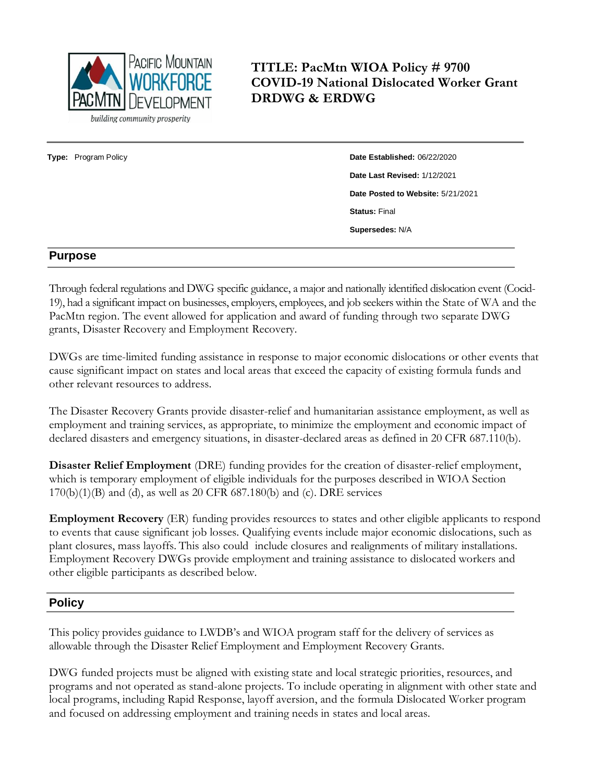

**TITLE: PacMtn WIOA Policy # 9700 COVID-19 National Dislocated Worker Grant DRDWG & ERDWG**

**Type:** Program Policy **Date Established:** 06/22/2020 **Date Last Revised:** 1/12/2021 **Date Posted to Website:** 5/21/2021 **Status:** Final **Supersedes:** N/A

### **Purpose**

Through federal regulations and DWG specific guidance, a major and nationally identified dislocation event (Cocid-19), had a significant impact on businesses, employers, employees, and job seekers within the State of WA and the PacMtn region. The event allowed for application and award of funding through two separate DWG grants, Disaster Recovery and Employment Recovery.

DWGs are time-limited funding assistance in response to major economic dislocations or other events that cause significant impact on states and local areas that exceed the capacity of existing formula funds and other relevant resources to address.

The Disaster Recovery Grants provide disaster-relief and humanitarian assistance employment, as well as employment and training services, as appropriate, to minimize the employment and economic impact of declared disasters and emergency situations, in disaster-declared areas as defined in 20 CFR 687.110(b).

**Disaster Relief Employment** (DRE) funding provides for the creation of disaster-relief employment, which is temporary employment of eligible individuals for the purposes described in WIOA Section  $170(b)(1)(B)$  and (d), as well as 20 CFR 687.180(b) and (c). DRE services

**Employment Recovery** (ER) funding provides resources to states and other eligible applicants to respond to events that cause significant job losses. Qualifying events include major economic dislocations, such as plant closures, mass layoffs. This also could include closures and realignments of military installations. Employment Recovery DWGs provide employment and training assistance to dislocated workers and other eligible participants as described below.

# **Policy**

This policy provides guidance to LWDB's and WIOA program staff for the delivery of services as allowable through the Disaster Relief Employment and Employment Recovery Grants.

DWG funded projects must be aligned with existing state and local strategic priorities, resources, and programs and not operated as stand-alone projects. To include operating in alignment with other state and local programs, including Rapid Response, layoff aversion, and the formula Dislocated Worker program and focused on addressing employment and training needs in states and local areas.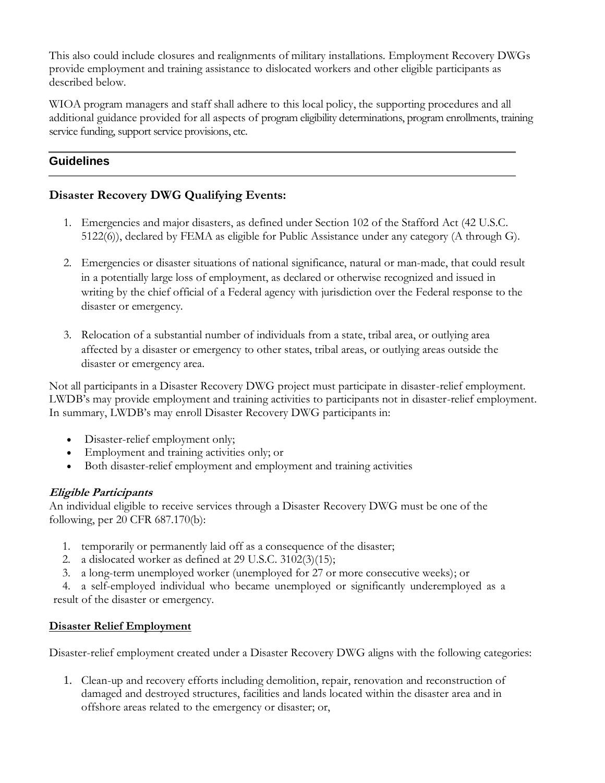This also could include closures and realignments of military installations. Employment Recovery DWGs provide employment and training assistance to dislocated workers and other eligible participants as described below.

WIOA program managers and staff shall adhere to this local policy, the supporting procedures and all additional guidance provided for all aspects of program eligibility determinations, program enrollments, training service funding, support service provisions, etc.

# **Guidelines**

# **Disaster Recovery DWG Qualifying Events:**

- 1. Emergencies and major disasters, as defined under Section 102 of the Stafford Act (42 U.S.C. 5122(6)), declared by FEMA as eligible for Public Assistance under any category (A through G).
- 2. Emergencies or disaster situations of national significance, natural or man-made, that could result in a potentially large loss of employment, as declared or otherwise recognized and issued in writing by the chief official of a Federal agency with jurisdiction over the Federal response to the disaster or emergency.
- 3. Relocation of a substantial number of individuals from a state, tribal area, or outlying area affected by a disaster or emergency to other states, tribal areas, or outlying areas outside the disaster or emergency area.

Not all participants in a Disaster Recovery DWG project must participate in disaster-relief employment. LWDB's may provide employment and training activities to participants not in disaster-relief employment. In summary, LWDB's may enroll Disaster Recovery DWG participants in:

- Disaster-relief employment only;
- Employment and training activities only; or
- Both disaster-relief employment and employment and training activities

# **Eligible Participants**

An individual eligible to receive services through a Disaster Recovery DWG must be one of the following, per 20 CFR 687.170(b):

- 1. temporarily or permanently laid off as a consequence of the disaster;
- 2. a dislocated worker as defined at 29 U.S.C. 3102(3)(15);
- 3. a long-term unemployed worker (unemployed for 27 or more consecutive weeks); or

4. a self-employed individual who became unemployed or significantly underemployed as a result of the disaster or emergency.

# **Disaster Relief Employment**

Disaster-relief employment created under a Disaster Recovery DWG aligns with the following categories:

1. Clean-up and recovery efforts including demolition, repair, renovation and reconstruction of damaged and destroyed structures, facilities and lands located within the disaster area and in offshore areas related to the emergency or disaster; or,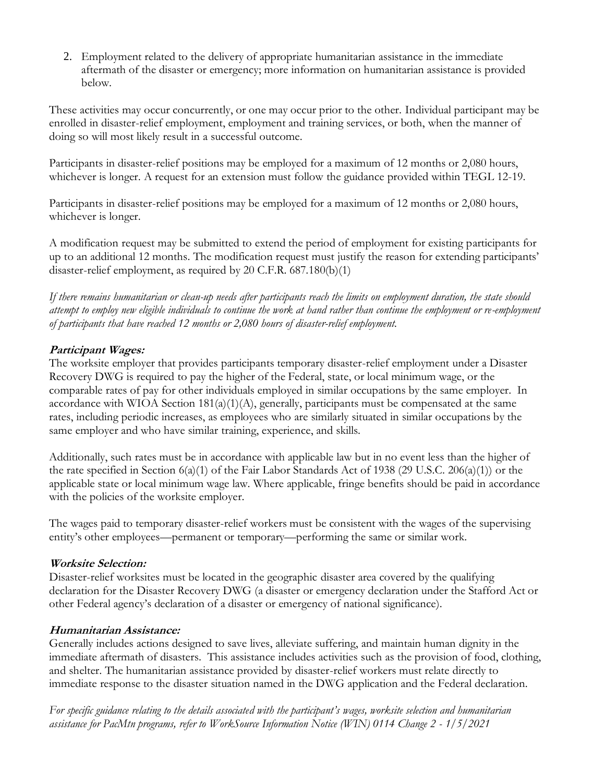2. Employment related to the delivery of appropriate humanitarian assistance in the immediate aftermath of the disaster or emergency; more information on humanitarian assistance is provided below.

These activities may occur concurrently, or one may occur prior to the other. Individual participant may be enrolled in disaster-relief employment, employment and training services, or both, when the manner of doing so will most likely result in a successful outcome.

Participants in disaster-relief positions may be employed for a maximum of 12 months or 2,080 hours, whichever is longer. A request for an extension must follow the guidance provided within TEGL 12-19.

Participants in disaster-relief positions may be employed for a maximum of 12 months or 2,080 hours, whichever is longer.

A modification request may be submitted to extend the period of employment for existing participants for up to an additional 12 months. The modification request must justify the reason for extending participants' disaster-relief employment, as required by 20 C.F.R. 687.180(b)(1)

*If there remains humanitarian or clean-up needs after participants reach the limits on employment duration, the state should attempt to employ new eligible individuals to continue the work at hand rather than continue the employment or re-employment of participants that have reached 12 months or 2,080 hours of disaster-relief employment.*

# **Participant Wages:**

The worksite employer that provides participants temporary disaster-relief employment under a Disaster Recovery DWG is required to pay the higher of the Federal, state, or local minimum wage, or the comparable rates of pay for other individuals employed in similar occupations by the same employer. In accordance with WIOA Section 181(a)(1)(A), generally, participants must be compensated at the same rates, including periodic increases, as employees who are similarly situated in similar occupations by the same employer and who have similar training, experience, and skills.

Additionally, such rates must be in accordance with applicable law but in no event less than the higher of the rate specified in Section  $6(a)(1)$  of the Fair Labor Standards Act of 1938 (29 U.S.C. 206(a)(1)) or the applicable state or local minimum wage law. Where applicable, fringe benefits should be paid in accordance with the policies of the worksite employer.

The wages paid to temporary disaster-relief workers must be consistent with the wages of the supervising entity's other employees—permanent or temporary—performing the same or similar work.

# **Worksite Selection:**

Disaster-relief worksites must be located in the geographic disaster area covered by the qualifying declaration for the Disaster Recovery DWG (a disaster or emergency declaration under the Stafford Act or other Federal agency's declaration of a disaster or emergency of national significance).

# **Humanitarian Assistance:**

Generally includes actions designed to save lives, alleviate suffering, and maintain human dignity in the immediate aftermath of disasters. This assistance includes activities such as the provision of food, clothing, and shelter. The humanitarian assistance provided by disaster-relief workers must relate directly to immediate response to the disaster situation named in the DWG application and the Federal declaration.

*For specific guidance relating to the details associated with the participant's wages, worksite selection and humanitarian assistance for PacMtn programs, refer to WorkSource Information Notice (WIN) 0114 Change 2 - 1/5/2021*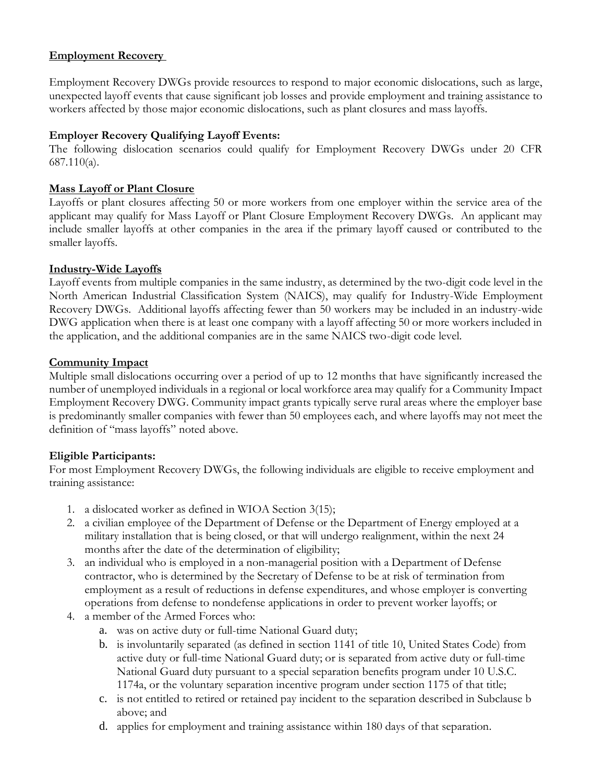## **Employment Recovery**

Employment Recovery DWGs provide resources to respond to major economic dislocations, such as large, unexpected layoff events that cause significant job losses and provide employment and training assistance to workers affected by those major economic dislocations, such as plant closures and mass layoffs.

### **Employer Recovery Qualifying Layoff Events:**

The following dislocation scenarios could qualify for Employment Recovery DWGs under 20 CFR 687.110(a).

#### **Mass Layoff or Plant Closure**

Layoffs or plant closures affecting 50 or more workers from one employer within the service area of the applicant may qualify for Mass Layoff or Plant Closure Employment Recovery DWGs. An applicant may include smaller layoffs at other companies in the area if the primary layoff caused or contributed to the smaller layoffs.

#### **Industry-Wide Layoffs**

Layoff events from multiple companies in the same industry, as determined by the two-digit code level in the North American Industrial Classification System (NAICS), may qualify for Industry-Wide Employment Recovery DWGs. Additional layoffs affecting fewer than 50 workers may be included in an industry-wide DWG application when there is at least one company with a layoff affecting 50 or more workers included in the application, and the additional companies are in the same NAICS two-digit code level.

#### **Community Impact**

Multiple small dislocations occurring over a period of up to 12 months that have significantly increased the number of unemployed individuals in a regional or local workforce area may qualify for a Community Impact Employment Recovery DWG. Community impact grants typically serve rural areas where the employer base is predominantly smaller companies with fewer than 50 employees each, and where layoffs may not meet the definition of "mass layoffs" noted above.

#### **Eligible Participants:**

For most Employment Recovery DWGs, the following individuals are eligible to receive employment and training assistance:

- 1. a dislocated worker as defined in WIOA Section 3(15);
- 2. a civilian employee of the Department of Defense or the Department of Energy employed at a military installation that is being closed, or that will undergo realignment, within the next 24 months after the date of the determination of eligibility;
- 3. an individual who is employed in a non-managerial position with a Department of Defense contractor, who is determined by the Secretary of Defense to be at risk of termination from employment as a result of reductions in defense expenditures, and whose employer is converting operations from defense to nondefense applications in order to prevent worker layoffs; or
- 4. a member of the Armed Forces who:
	- a. was on active duty or full-time National Guard duty;
	- b. is involuntarily separated (as defined in section 1141 of title 10, United States Code) from active duty or full-time National Guard duty; or is separated from active duty or full-time National Guard duty pursuant to a special separation benefits program under 10 U.S.C. 1174a, or the voluntary separation incentive program under section 1175 of that title;
	- c. is not entitled to retired or retained pay incident to the separation described in Subclause b above; and
	- d. applies for employment and training assistance within 180 days of that separation.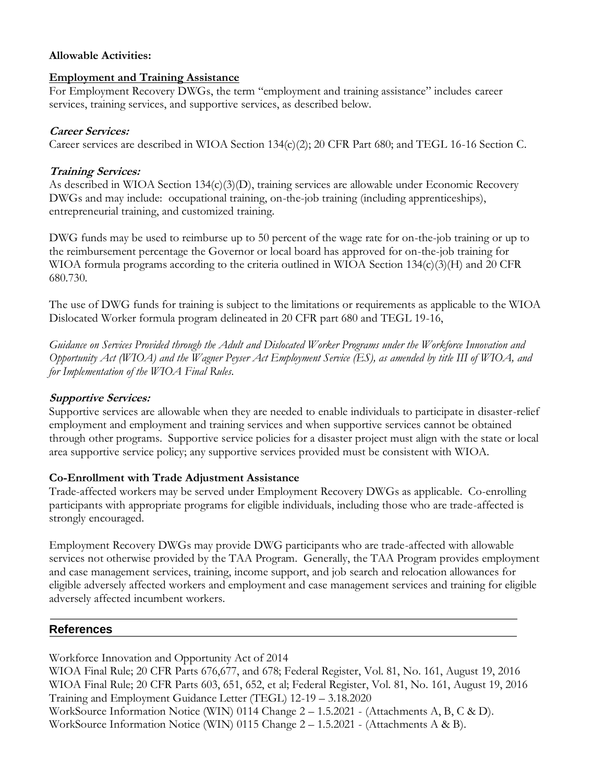#### **Allowable Activities:**

#### **Employment and Training Assistance**

For Employment Recovery DWGs, the term "employment and training assistance" includes career services, training services, and supportive services, as described below.

#### **Career Services:**

Career services are described in WIOA Section 134(c)(2); 20 CFR Part 680; and TEGL 16-16 Section C.

#### **Training Services:**

As described in WIOA Section 134(c)(3)(D), training services are allowable under Economic Recovery DWGs and may include: occupational training, on-the-job training (including apprenticeships), entrepreneurial training, and customized training.

DWG funds may be used to reimburse up to 50 percent of the wage rate for on-the-job training or up to the reimbursement percentage the Governor or local board has approved for on-the-job training for WIOA formula programs according to the criteria outlined in WIOA Section 134(c)(3)(H) and 20 CFR 680.730.

The use of DWG funds for training is subject to the limitations or requirements as applicable to the WIOA Dislocated Worker formula program delineated in 20 CFR part 680 and TEGL 19-16,

*Guidance on Services Provided through the Adult and Dislocated Worker Programs under the Workforce Innovation and Opportunity Act (WIOA) and the Wagner Peyser Act Employment Service (ES), as amended by title III of WIOA, and for Implementation of the WIOA Final Rules.*

#### **Supportive Services:**

Supportive services are allowable when they are needed to enable individuals to participate in disaster-relief employment and employment and training services and when supportive services cannot be obtained through other programs. Supportive service policies for a disaster project must align with the state or local area supportive service policy; any supportive services provided must be consistent with WIOA.

#### **Co-Enrollment with Trade Adjustment Assistance**

Trade-affected workers may be served under Employment Recovery DWGs as applicable. Co-enrolling participants with appropriate programs for eligible individuals, including those who are trade-affected is strongly encouraged.

Employment Recovery DWGs may provide DWG participants who are trade-affected with allowable services not otherwise provided by the TAA Program. Generally, the TAA Program provides employment and case management services, training, income support, and job search and relocation allowances for eligible adversely affected workers and employment and case management services and training for eligible adversely affected incumbent workers.

# **References**

Workforce Innovation and Opportunity Act of 2014

WIOA Final Rule; 20 CFR Parts 676,677, and 678; Federal Register, Vol. 81, No. 161, August 19, 2016 WIOA Final Rule; 20 CFR Parts 603, 651, 652, et al; Federal Register, Vol. 81, No. 161, August 19, 2016 Training and Employment Guidance Letter (TEGL) 12-19 – 3.18.2020 WorkSource Information Notice (WIN) 0114 Change 2 – 1.5.2021 - (Attachments A, B, C & D). WorkSource Information Notice (WIN) 0115 Change 2 – 1.5.2021 - (Attachments A & B).